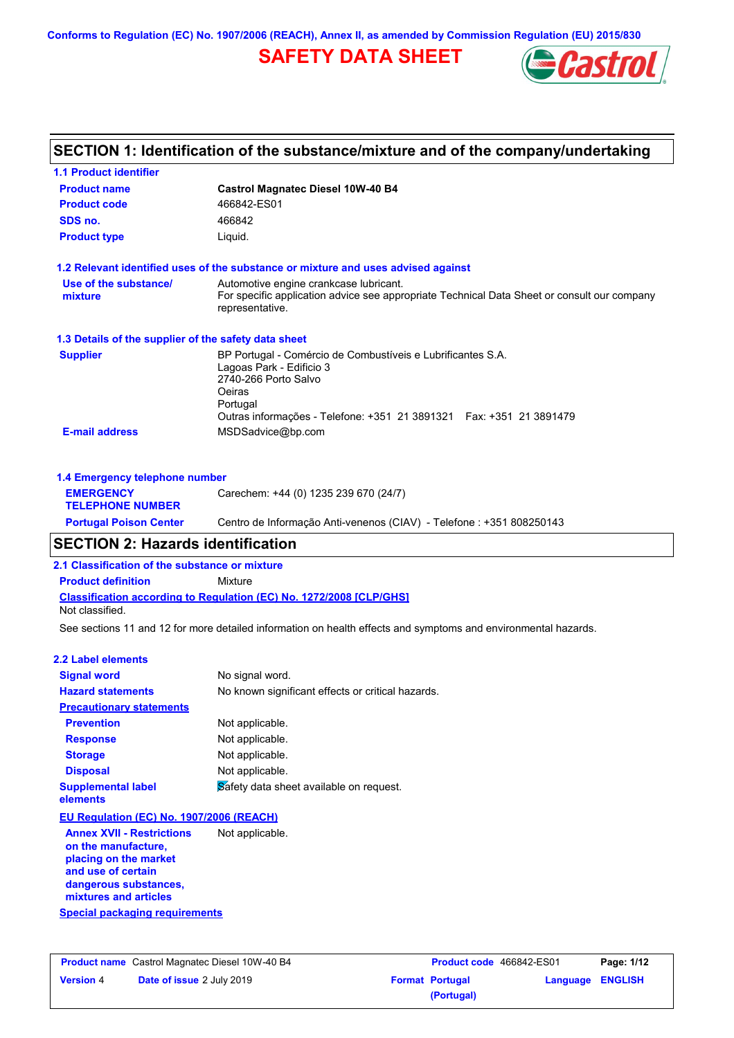**Conforms to Regulation (EC) No. 1907/2006 (REACH), Annex II, as amended by Commission Regulation (EU) 2015/830**

# **SAFETY DATA SHEET**



# **SECTION 1: Identification of the substance/mixture and of the company/undertaking**

| <b>1.1 Product identifier</b>                        |                                                                                                                                                                                                               |
|------------------------------------------------------|---------------------------------------------------------------------------------------------------------------------------------------------------------------------------------------------------------------|
| <b>Product name</b>                                  | <b>Castrol Magnatec Diesel 10W-40 B4</b>                                                                                                                                                                      |
| <b>Product code</b>                                  | 466842-ES01                                                                                                                                                                                                   |
| SDS no.                                              | 466842                                                                                                                                                                                                        |
| <b>Product type</b>                                  | Liquid.                                                                                                                                                                                                       |
|                                                      | 1.2 Relevant identified uses of the substance or mixture and uses advised against                                                                                                                             |
| Use of the substance/<br>mixture                     | Automotive engine crankcase lubricant.<br>For specific application advice see appropriate Technical Data Sheet or consult our company<br>representative.                                                      |
| 1.3 Details of the supplier of the safety data sheet |                                                                                                                                                                                                               |
| <b>Supplier</b>                                      | BP Portugal - Comércio de Combustíveis e Lubrificantes S.A.<br>Lagoas Park - Edificio 3<br>2740-266 Porto Salvo<br>Oeiras<br>Portugal<br>Outras informações - Telefone: +351 21 3891321  Fax: +351 21 3891479 |
| <b>E-mail address</b>                                | MSDSadvice@bp.com                                                                                                                                                                                             |
| 1.4 Emergency telephone number                       |                                                                                                                                                                                                               |
| <b>FMFRGFNCY</b>                                     | $Carechem: +44(0)$ 1235 239 670 (24/7)                                                                                                                                                                        |

| <b>EMERGENCY</b><br><b>TELEPHONE NUMBER</b> | Carechem: +44 (0) 1235 239 670 (24/7)                                |
|---------------------------------------------|----------------------------------------------------------------------|
| <b>Portugal Poison Center</b>               | Centro de Informação Anti-venenos (CIAV) - Telefone : +351 808250143 |
|                                             |                                                                      |

# **SECTION 2: Hazards identification**

**2.1 Classification of the substance or mixture**

**Product definition** Mixture

**Classification according to Regulation (EC) No. 1272/2008 [CLP/GHS]** Not classified.

See sections 11 and 12 for more detailed information on health effects and symptoms and environmental hazards.

#### **2.2 Label elements**

| <b>Signal word</b>                    | No signal word.                                   |
|---------------------------------------|---------------------------------------------------|
| <b>Hazard statements</b>              | No known significant effects or critical hazards. |
| <b>Precautionary statements</b>       |                                                   |
| <b>Prevention</b>                     | Not applicable.                                   |
| <b>Response</b>                       | Not applicable.                                   |
| <b>Storage</b>                        | Not applicable.                                   |
| <b>Disposal</b>                       | Not applicable.                                   |
| <b>Supplemental label</b><br>elements | Safety data sheet available on request.           |

**EU Regulation (EC) No. 1907/2006 (REACH)**

**Special packaging requirements Annex XVII - Restrictions on the manufacture, placing on the market and use of certain dangerous substances, mixtures and articles** Not applicable.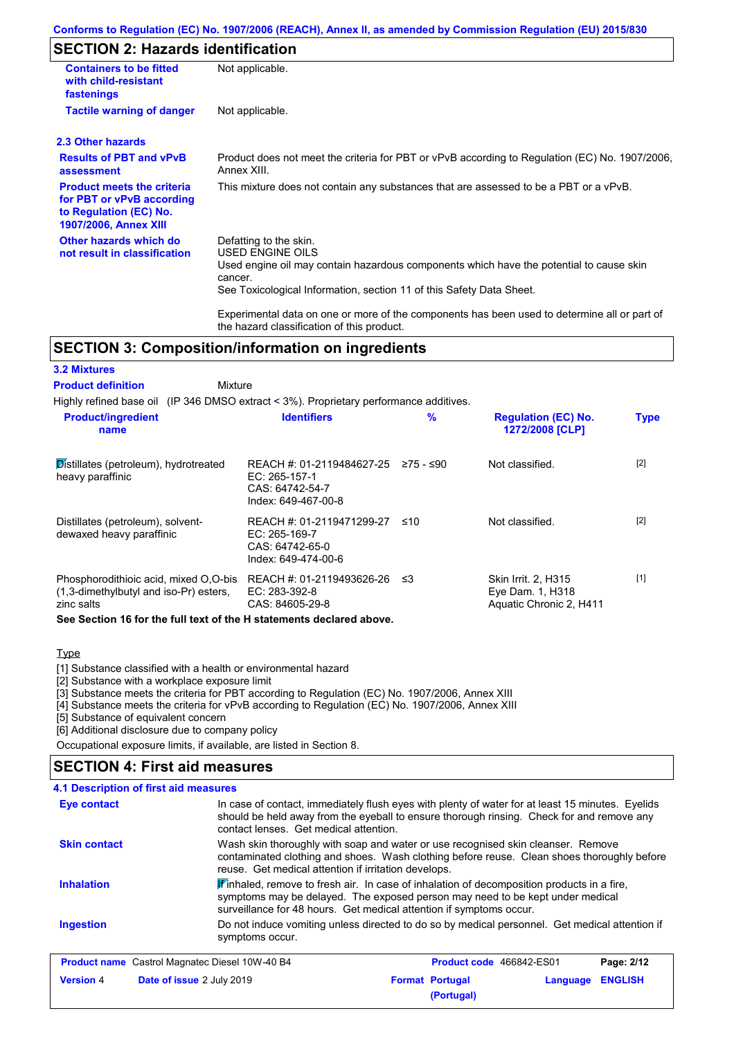#### **Conforms to Regulation (EC) No. 1907/2006 (REACH), Annex II, as amended by Commission Regulation (EU) 2015/830**

## **SECTION 2: Hazards identification**

| <b>Containers to be fitted</b><br>with child-resistant<br>fastenings                                                     | Not applicable.                                                                                                                                                                                                          |
|--------------------------------------------------------------------------------------------------------------------------|--------------------------------------------------------------------------------------------------------------------------------------------------------------------------------------------------------------------------|
| <b>Tactile warning of danger</b>                                                                                         | Not applicable.                                                                                                                                                                                                          |
| 2.3 Other hazards                                                                                                        |                                                                                                                                                                                                                          |
| <b>Results of PBT and vPvB</b><br>assessment                                                                             | Product does not meet the criteria for PBT or vPvB according to Regulation (EC) No. 1907/2006,<br>Annex XIII.                                                                                                            |
| <b>Product meets the criteria</b><br>for PBT or vPvB according<br>to Regulation (EC) No.<br><b>1907/2006, Annex XIII</b> | This mixture does not contain any substances that are assessed to be a PBT or a vPvB.                                                                                                                                    |
| Other hazards which do<br>not result in classification                                                                   | Defatting to the skin.<br>USED ENGINE OILS<br>Used engine oil may contain hazardous components which have the potential to cause skin<br>cancer.<br>See Toxicological Information, section 11 of this Safety Data Sheet. |
|                                                                                                                          | Experimental data on one or more of the components has been used to determine all or part of                                                                                                                             |

### **SECTION 3: Composition/information on ingredients**

the hazard classification of this product.

| Mixture                                                                              |           |                                                                    |                                                                                        |
|--------------------------------------------------------------------------------------|-----------|--------------------------------------------------------------------|----------------------------------------------------------------------------------------|
|                                                                                      |           |                                                                    |                                                                                        |
| <b>Identifiers</b>                                                                   | %         | <b>Regulation (EC) No.</b><br>1272/2008 [CLP]                      | <b>Type</b>                                                                            |
| REACH #: 01-2119484627-25<br>EC: 265-157-1<br>CAS: 64742-54-7<br>Index: 649-467-00-8 | ≥75 - ≤90 | Not classified.                                                    | $[2]$                                                                                  |
| EC: 265-169-7<br>CAS: 64742-65-0<br>Index: 649-474-00-6                              | ≤10       | Not classified.                                                    | $[2]$                                                                                  |
| REACH #: 01-2119493626-26<br>EC: 283-392-8<br>CAS: 84605-29-8                        | -≤3       | Skin Irrit. 2, H315<br>Eye Dam. 1, H318<br>Aquatic Chronic 2, H411 | $[1]$                                                                                  |
|                                                                                      |           | REACH #: 01-2119471299-27                                          | Highly refined base oil (IP 346 DMSO extract < 3%). Proprietary performance additives. |

**See Section 16 for the full text of the H statements declared above.**

**Type** 

[1] Substance classified with a health or environmental hazard

[2] Substance with a workplace exposure limit

[3] Substance meets the criteria for PBT according to Regulation (EC) No. 1907/2006, Annex XIII

[4] Substance meets the criteria for vPvB according to Regulation (EC) No. 1907/2006, Annex XIII

[5] Substance of equivalent concern

[6] Additional disclosure due to company policy

Occupational exposure limits, if available, are listed in Section 8.

## **SECTION 4: First aid measures**

#### Do not induce vomiting unless directed to do so by medical personnel. Get medical attention if symptoms occur. In case of contact, immediately flush eyes with plenty of water for at least 15 minutes. Eyelids should be held away from the eyeball to ensure thorough rinsing. Check for and remove any contact lenses. Get medical attention. **4.1 Description of first aid measures**  $\mathbb F$  inhaled, remove to fresh air. In case of inhalation of decomposition products in a fire, symptoms may be delayed. The exposed person may need to be kept under medical surveillance for 48 hours. Get medical attention if symptoms occur. **Ingestion Inhalation Eye contact Skin contact** Wash skin thoroughly with soap and water or use recognised skin cleanser. Remove contaminated clothing and shoes. Wash clothing before reuse. Clean shoes thoroughly before reuse. Get medical attention if irritation develops. **Product name** Castrol Magnatec Diesel 10W-40 B4 **Product Code 466842-ES01 Page: 2/12 Version** 4 **Date of issue** 2 July 2019 **Format Portugal Language ENGLISH (Portugal)**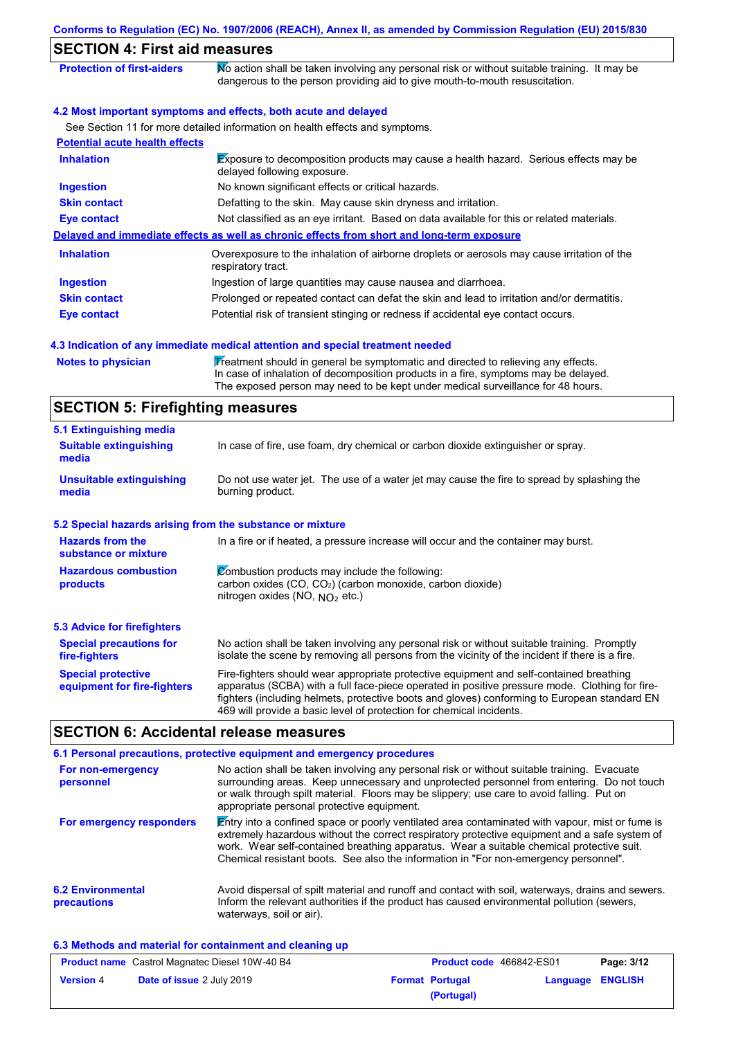| <b>SECTION 4: First aid measures</b>                      |                                                                                                                                                                                                                                                                                                                                                                   |
|-----------------------------------------------------------|-------------------------------------------------------------------------------------------------------------------------------------------------------------------------------------------------------------------------------------------------------------------------------------------------------------------------------------------------------------------|
| <b>Protection of first-aiders</b>                         | No action shall be taken involving any personal risk or without suitable training. It may be<br>dangerous to the person providing aid to give mouth-to-mouth resuscitation.                                                                                                                                                                                       |
|                                                           | 4.2 Most important symptoms and effects, both acute and delayed                                                                                                                                                                                                                                                                                                   |
|                                                           | See Section 11 for more detailed information on health effects and symptoms.                                                                                                                                                                                                                                                                                      |
| <b>Potential acute health effects</b>                     |                                                                                                                                                                                                                                                                                                                                                                   |
| <b>Inhalation</b>                                         | Exposure to decomposition products may cause a health hazard. Serious effects may be<br>delayed following exposure.                                                                                                                                                                                                                                               |
| <b>Ingestion</b>                                          | No known significant effects or critical hazards.                                                                                                                                                                                                                                                                                                                 |
| <b>Skin contact</b>                                       | Defatting to the skin. May cause skin dryness and irritation.                                                                                                                                                                                                                                                                                                     |
| <b>Eye contact</b>                                        | Not classified as an eye irritant. Based on data available for this or related materials.                                                                                                                                                                                                                                                                         |
|                                                           | Delayed and immediate effects as well as chronic effects from short and long-term exposure                                                                                                                                                                                                                                                                        |
| <b>Inhalation</b>                                         | Overexposure to the inhalation of airborne droplets or aerosols may cause irritation of the<br>respiratory tract.                                                                                                                                                                                                                                                 |
| <b>Ingestion</b>                                          | Ingestion of large quantities may cause nausea and diarrhoea.                                                                                                                                                                                                                                                                                                     |
| <b>Skin contact</b>                                       | Prolonged or repeated contact can defat the skin and lead to irritation and/or dermatitis.                                                                                                                                                                                                                                                                        |
| <b>Eye contact</b>                                        | Potential risk of transient stinging or redness if accidental eye contact occurs.                                                                                                                                                                                                                                                                                 |
|                                                           |                                                                                                                                                                                                                                                                                                                                                                   |
|                                                           | 4.3 Indication of any immediate medical attention and special treatment needed                                                                                                                                                                                                                                                                                    |
| <b>Notes to physician</b>                                 | Treatment should in general be symptomatic and directed to relieving any effects.<br>In case of inhalation of decomposition products in a fire, symptoms may be delayed.<br>The exposed person may need to be kept under medical surveillance for 48 hours.                                                                                                       |
| <b>SECTION 5: Firefighting measures</b>                   |                                                                                                                                                                                                                                                                                                                                                                   |
| 5.1 Extinguishing media                                   |                                                                                                                                                                                                                                                                                                                                                                   |
| <b>Suitable extinguishing</b><br>media                    | In case of fire, use foam, dry chemical or carbon dioxide extinguisher or spray.                                                                                                                                                                                                                                                                                  |
| <b>Unsuitable extinguishing</b><br>media                  | Do not use water jet. The use of a water jet may cause the fire to spread by splashing the<br>burning product.                                                                                                                                                                                                                                                    |
| 5.2 Special hazards arising from the substance or mixture |                                                                                                                                                                                                                                                                                                                                                                   |
| <b>Hazards from the</b><br>substance or mixture           | In a fire or if heated, a pressure increase will occur and the container may burst.                                                                                                                                                                                                                                                                               |
| <b>Hazardous combustion</b><br>products                   | Combustion products may include the following:<br>carbon oxides (CO, CO <sub>2</sub> ) (carbon monoxide, carbon dioxide)<br>nitrogen oxides (NO, NO <sub>2</sub> etc.)                                                                                                                                                                                            |
| <b>5.3 Advice for firefighters</b>                        |                                                                                                                                                                                                                                                                                                                                                                   |
| <b>Special precautions for</b><br>fire-fighters           | No action shall be taken involving any personal risk or without suitable training. Promptly<br>isolate the scene by removing all persons from the vicinity of the incident if there is a fire.                                                                                                                                                                    |
| <b>Special protective</b><br>equipment for fire-fighters  | Fire-fighters should wear appropriate protective equipment and self-contained breathing<br>apparatus (SCBA) with a full face-piece operated in positive pressure mode. Clothing for fire-<br>fighters (including helmets, protective boots and gloves) conforming to European standard EN<br>469 will provide a basic level of protection for chemical incidents. |

# **SECTION 6: Accidental release measures**

|                                         | 6.1 Personal precautions, protective equipment and emergency procedures                                                                                                                                                                                                                                                                                                              |
|-----------------------------------------|--------------------------------------------------------------------------------------------------------------------------------------------------------------------------------------------------------------------------------------------------------------------------------------------------------------------------------------------------------------------------------------|
| For non-emergency<br>personnel          | No action shall be taken involving any personal risk or without suitable training. Evacuate<br>surrounding areas. Keep unnecessary and unprotected personnel from entering. Do not touch<br>or walk through spilt material. Floors may be slippery; use care to avoid falling. Put on<br>appropriate personal protective equipment.                                                  |
| For emergency responders                | Entry into a confined space or poorly ventilated area contaminated with vapour, mist or fume is<br>extremely hazardous without the correct respiratory protective equipment and a safe system of<br>work. Wear self-contained breathing apparatus. Wear a suitable chemical protective suit.<br>Chemical resistant boots. See also the information in "For non-emergency personnel". |
| <b>6.2 Environmental</b><br>precautions | Avoid dispersal of spilt material and runoff and contact with soil, waterways, drains and sewers.<br>Inform the relevant authorities if the product has caused environmental pollution (sewers,<br>waterways, soil or air).                                                                                                                                                          |

### **6.3 Methods and material for containment and cleaning up**

| <b>Product name</b> Castrol Magnatec Diesel 10W-40 B4 |                                  | <b>Product code</b> 466842-ES01 |                        | Page: 3/12              |  |
|-------------------------------------------------------|----------------------------------|---------------------------------|------------------------|-------------------------|--|
| <b>Version 4</b>                                      | <b>Date of issue 2 July 2019</b> |                                 | <b>Format Portugal</b> | <b>Language ENGLISH</b> |  |
|                                                       |                                  |                                 | (Portugal)             |                         |  |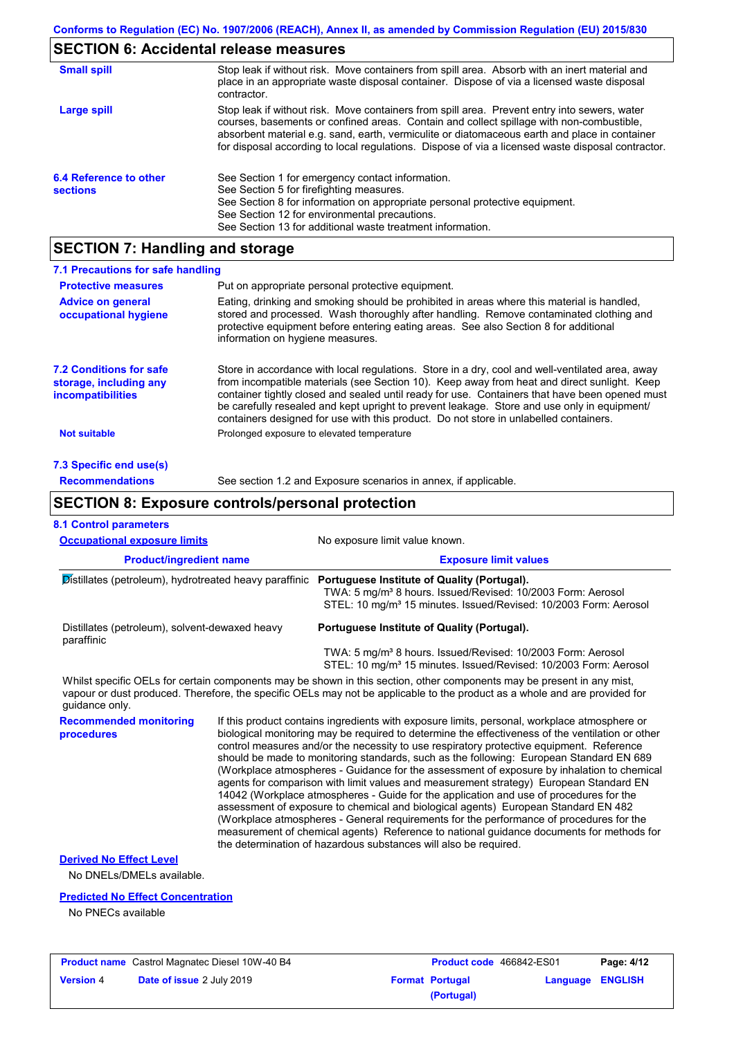## **SECTION 6: Accidental release measures**

| <b>Small spill</b>                        | Stop leak if without risk. Move containers from spill area. Absorb with an inert material and<br>place in an appropriate waste disposal container. Dispose of via a licensed waste disposal<br>contractor.                                                                                                                                                                                     |
|-------------------------------------------|------------------------------------------------------------------------------------------------------------------------------------------------------------------------------------------------------------------------------------------------------------------------------------------------------------------------------------------------------------------------------------------------|
| Large spill                               | Stop leak if without risk. Move containers from spill area. Prevent entry into sewers, water<br>courses, basements or confined areas. Contain and collect spillage with non-combustible,<br>absorbent material e.g. sand, earth, vermiculite or diatomaceous earth and place in container<br>for disposal according to local regulations. Dispose of via a licensed waste disposal contractor. |
| 6.4 Reference to other<br><b>sections</b> | See Section 1 for emergency contact information.<br>See Section 5 for firefighting measures.<br>See Section 8 for information on appropriate personal protective equipment.<br>See Section 12 for environmental precautions.<br>See Section 13 for additional waste treatment information.                                                                                                     |

# **SECTION 7: Handling and storage**

| 7.1 Precautions for safe handling                                                    |                                                                                                                                                                                                                                                                                                                                                                                                                                                                                          |  |  |
|--------------------------------------------------------------------------------------|------------------------------------------------------------------------------------------------------------------------------------------------------------------------------------------------------------------------------------------------------------------------------------------------------------------------------------------------------------------------------------------------------------------------------------------------------------------------------------------|--|--|
| <b>Protective measures</b>                                                           | Put on appropriate personal protective equipment.                                                                                                                                                                                                                                                                                                                                                                                                                                        |  |  |
| <b>Advice on general</b><br>occupational hygiene                                     | Eating, drinking and smoking should be prohibited in areas where this material is handled,<br>stored and processed. Wash thoroughly after handling. Remove contaminated clothing and<br>protective equipment before entering eating areas. See also Section 8 for additional<br>information on hygiene measures.                                                                                                                                                                         |  |  |
| <b>7.2 Conditions for safe</b><br>storage, including any<br><i>incompatibilities</i> | Store in accordance with local regulations. Store in a dry, cool and well-ventilated area, away<br>from incompatible materials (see Section 10). Keep away from heat and direct sunlight. Keep<br>container tightly closed and sealed until ready for use. Containers that have been opened must<br>be carefully resealed and kept upright to prevent leakage. Store and use only in equipment/<br>containers designed for use with this product. Do not store in unlabelled containers. |  |  |
| <b>Not suitable</b>                                                                  | Prolonged exposure to elevated temperature                                                                                                                                                                                                                                                                                                                                                                                                                                               |  |  |
| 7.3 Specific end use(s)                                                              |                                                                                                                                                                                                                                                                                                                                                                                                                                                                                          |  |  |
| <b>Recommendations</b>                                                               | See section 1.2 and Exposure scenarios in annex, if applicable.                                                                                                                                                                                                                                                                                                                                                                                                                          |  |  |
|                                                                                      | <b>SECTION 8: Exposure controls/personal protection</b>                                                                                                                                                                                                                                                                                                                                                                                                                                  |  |  |
| <b>8.1 Control parameters</b>                                                        |                                                                                                                                                                                                                                                                                                                                                                                                                                                                                          |  |  |
| <b>Occupational exposure limits</b>                                                  | No exposure limit value known.                                                                                                                                                                                                                                                                                                                                                                                                                                                           |  |  |
| <b>Product/ingredient name</b>                                                       | <b>Exposure limit values</b>                                                                                                                                                                                                                                                                                                                                                                                                                                                             |  |  |

|                                                              | —————————————————                                                                                                                                                                                      |
|--------------------------------------------------------------|--------------------------------------------------------------------------------------------------------------------------------------------------------------------------------------------------------|
| Distillates (petroleum), hydrotreated heavy paraffinic       | Portuguese Institute of Quality (Portugal).<br>TWA: 5 mg/m <sup>3</sup> 8 hours. Issued/Revised: 10/2003 Form: Aerosol<br>STEL: 10 mg/m <sup>3</sup> 15 minutes. Issued/Revised: 10/2003 Form: Aerosol |
| Distillates (petroleum), solvent-dewaxed heavy<br>paraffinic | Portuguese Institute of Quality (Portugal).                                                                                                                                                            |
|                                                              | TWA: 5 mg/m <sup>3</sup> 8 hours. Issued/Revised: 10/2003 Form: Aerosol<br>STEL: 10 mg/m <sup>3</sup> 15 minutes. Issued/Revised: 10/2003 Form: Aerosol                                                |
|                                                              | Whilst specific OELs for certain components may be shown in this section other components may be present in any mist                                                                                   |

Whilst specific OELs for certain components may be shown in this section, other components may be present in any mist, vapour or dust produced. Therefore, the specific OELs may not be applicable to the product as a whole and are provided for guidance only.

**Recommended monitoring procedures** If this product contains ingredients with exposure limits, personal, workplace atmosphere or biological monitoring may be required to determine the effectiveness of the ventilation or other control measures and/or the necessity to use respiratory protective equipment. Reference should be made to monitoring standards, such as the following: European Standard EN 689 (Workplace atmospheres - Guidance for the assessment of exposure by inhalation to chemical agents for comparison with limit values and measurement strategy) European Standard EN 14042 (Workplace atmospheres - Guide for the application and use of procedures for the assessment of exposure to chemical and biological agents) European Standard EN 482 (Workplace atmospheres - General requirements for the performance of procedures for the measurement of chemical agents) Reference to national guidance documents for methods for the determination of hazardous substances will also be required.

### **Derived No Effect Level**

No DNELs/DMELs available.

#### **Predicted No Effect Concentration**

No PNECs available

| <b>Product name</b> Castrol Magnatec Diesel 10W-40 B4 |                                  | <b>Product code</b> 466842-ES01 |                        | Page: 4/12              |  |
|-------------------------------------------------------|----------------------------------|---------------------------------|------------------------|-------------------------|--|
| <b>Version 4</b>                                      | <b>Date of issue 2 July 2019</b> |                                 | <b>Format Portugal</b> | <b>Language ENGLISH</b> |  |
|                                                       |                                  |                                 | (Portugal)             |                         |  |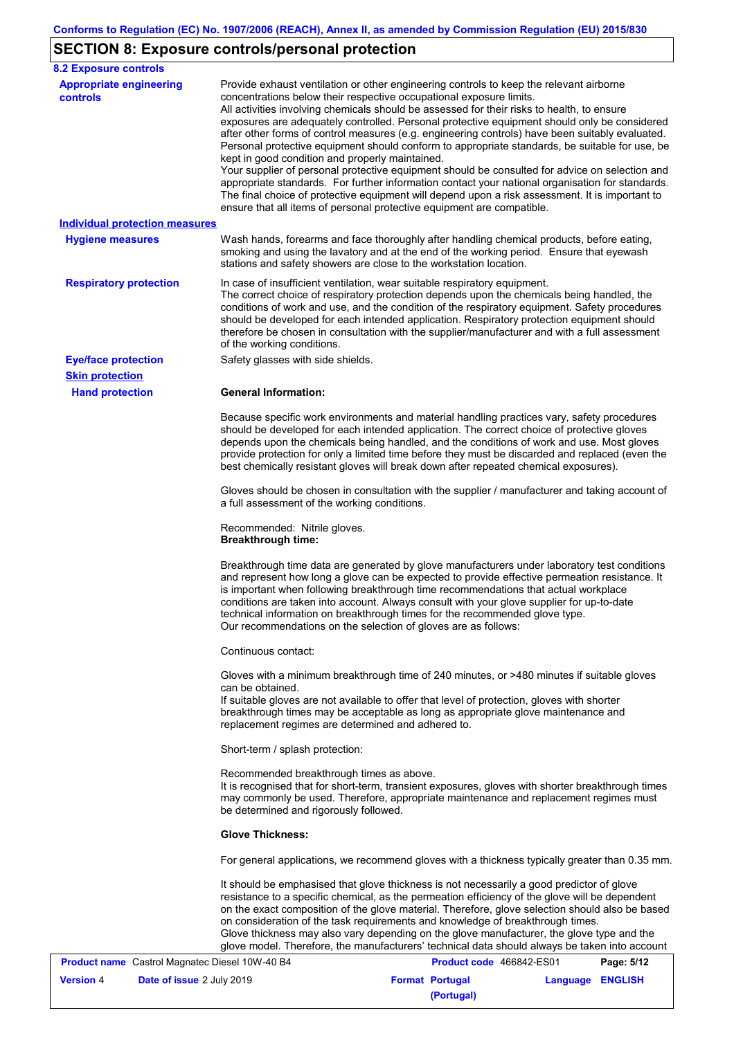# **SECTION 8: Exposure controls/personal protection**

| <b>Appropriate engineering</b><br>controls     | Provide exhaust ventilation or other engineering controls to keep the relevant airborne<br>concentrations below their respective occupational exposure limits.<br>All activities involving chemicals should be assessed for their risks to health, to ensure                                                                                                                                                                                                                                                                                                                                                                                                                                                                            |
|------------------------------------------------|-----------------------------------------------------------------------------------------------------------------------------------------------------------------------------------------------------------------------------------------------------------------------------------------------------------------------------------------------------------------------------------------------------------------------------------------------------------------------------------------------------------------------------------------------------------------------------------------------------------------------------------------------------------------------------------------------------------------------------------------|
|                                                | exposures are adequately controlled. Personal protective equipment should only be considered<br>after other forms of control measures (e.g. engineering controls) have been suitably evaluated.<br>Personal protective equipment should conform to appropriate standards, be suitable for use, be<br>kept in good condition and properly maintained.<br>Your supplier of personal protective equipment should be consulted for advice on selection and<br>appropriate standards. For further information contact your national organisation for standards.<br>The final choice of protective equipment will depend upon a risk assessment. It is important to<br>ensure that all items of personal protective equipment are compatible. |
| <b>Individual protection measures</b>          |                                                                                                                                                                                                                                                                                                                                                                                                                                                                                                                                                                                                                                                                                                                                         |
| <b>Hygiene measures</b>                        | Wash hands, forearms and face thoroughly after handling chemical products, before eating,<br>smoking and using the lavatory and at the end of the working period. Ensure that eyewash<br>stations and safety showers are close to the workstation location.                                                                                                                                                                                                                                                                                                                                                                                                                                                                             |
| <b>Respiratory protection</b>                  | In case of insufficient ventilation, wear suitable respiratory equipment.<br>The correct choice of respiratory protection depends upon the chemicals being handled, the<br>conditions of work and use, and the condition of the respiratory equipment. Safety procedures<br>should be developed for each intended application. Respiratory protection equipment should<br>therefore be chosen in consultation with the supplier/manufacturer and with a full assessment<br>of the working conditions.                                                                                                                                                                                                                                   |
| <b>Eye/face protection</b>                     | Safety glasses with side shields.                                                                                                                                                                                                                                                                                                                                                                                                                                                                                                                                                                                                                                                                                                       |
| <b>Skin protection</b>                         |                                                                                                                                                                                                                                                                                                                                                                                                                                                                                                                                                                                                                                                                                                                                         |
| <b>Hand protection</b>                         | <b>General Information:</b>                                                                                                                                                                                                                                                                                                                                                                                                                                                                                                                                                                                                                                                                                                             |
|                                                | Because specific work environments and material handling practices vary, safety procedures<br>should be developed for each intended application. The correct choice of protective gloves<br>depends upon the chemicals being handled, and the conditions of work and use. Most gloves<br>provide protection for only a limited time before they must be discarded and replaced (even the<br>best chemically resistant gloves will break down after repeated chemical exposures).                                                                                                                                                                                                                                                        |
|                                                | Gloves should be chosen in consultation with the supplier / manufacturer and taking account of<br>a full assessment of the working conditions.                                                                                                                                                                                                                                                                                                                                                                                                                                                                                                                                                                                          |
|                                                | Recommended: Nitrile gloves.<br><b>Breakthrough time:</b>                                                                                                                                                                                                                                                                                                                                                                                                                                                                                                                                                                                                                                                                               |
|                                                | Breakthrough time data are generated by glove manufacturers under laboratory test conditions<br>and represent how long a glove can be expected to provide effective permeation resistance. It<br>is important when following breakthrough time recommendations that actual workplace<br>conditions are taken into account. Always consult with your glove supplier for up-to-date<br>technical information on breakthrough times for the recommended glove type.<br>Our recommendations on the selection of gloves are as follows:                                                                                                                                                                                                      |
|                                                | Continuous contact:                                                                                                                                                                                                                                                                                                                                                                                                                                                                                                                                                                                                                                                                                                                     |
|                                                | Gloves with a minimum breakthrough time of 240 minutes, or >480 minutes if suitable gloves                                                                                                                                                                                                                                                                                                                                                                                                                                                                                                                                                                                                                                              |
|                                                | can be obtained.<br>If suitable gloves are not available to offer that level of protection, gloves with shorter<br>breakthrough times may be acceptable as long as appropriate glove maintenance and<br>replacement regimes are determined and adhered to.                                                                                                                                                                                                                                                                                                                                                                                                                                                                              |
|                                                | Short-term / splash protection:                                                                                                                                                                                                                                                                                                                                                                                                                                                                                                                                                                                                                                                                                                         |
|                                                | Recommended breakthrough times as above.<br>It is recognised that for short-term, transient exposures, gloves with shorter breakthrough times<br>may commonly be used. Therefore, appropriate maintenance and replacement regimes must<br>be determined and rigorously followed.                                                                                                                                                                                                                                                                                                                                                                                                                                                        |
|                                                | <b>Glove Thickness:</b>                                                                                                                                                                                                                                                                                                                                                                                                                                                                                                                                                                                                                                                                                                                 |
|                                                | For general applications, we recommend gloves with a thickness typically greater than 0.35 mm.                                                                                                                                                                                                                                                                                                                                                                                                                                                                                                                                                                                                                                          |
|                                                | It should be emphasised that glove thickness is not necessarily a good predictor of glove<br>resistance to a specific chemical, as the permeation efficiency of the glove will be dependent<br>on the exact composition of the glove material. Therefore, glove selection should also be based<br>on consideration of the task requirements and knowledge of breakthrough times.<br>Glove thickness may also vary depending on the glove manufacturer, the glove type and the<br>glove model. Therefore, the manufacturers' technical data should always be taken into account                                                                                                                                                          |
| Product name Castrol Magnatec Diesel 10W-40 B4 | Product code 466842-ES01<br>Page: 5/12                                                                                                                                                                                                                                                                                                                                                                                                                                                                                                                                                                                                                                                                                                  |

|                  | <b>Product name</b> Castrol Magnatec Diesel 10W-40 B4 | <b>Product code</b> 466842-ES01 |                  | Page: 5/12 |
|------------------|-------------------------------------------------------|---------------------------------|------------------|------------|
| <b>Version</b> 4 | <b>Date of issue 2 July 2019</b>                      | <b>Format Portugal</b>          | Language ENGLISH |            |
|                  |                                                       | (Portugal)                      |                  |            |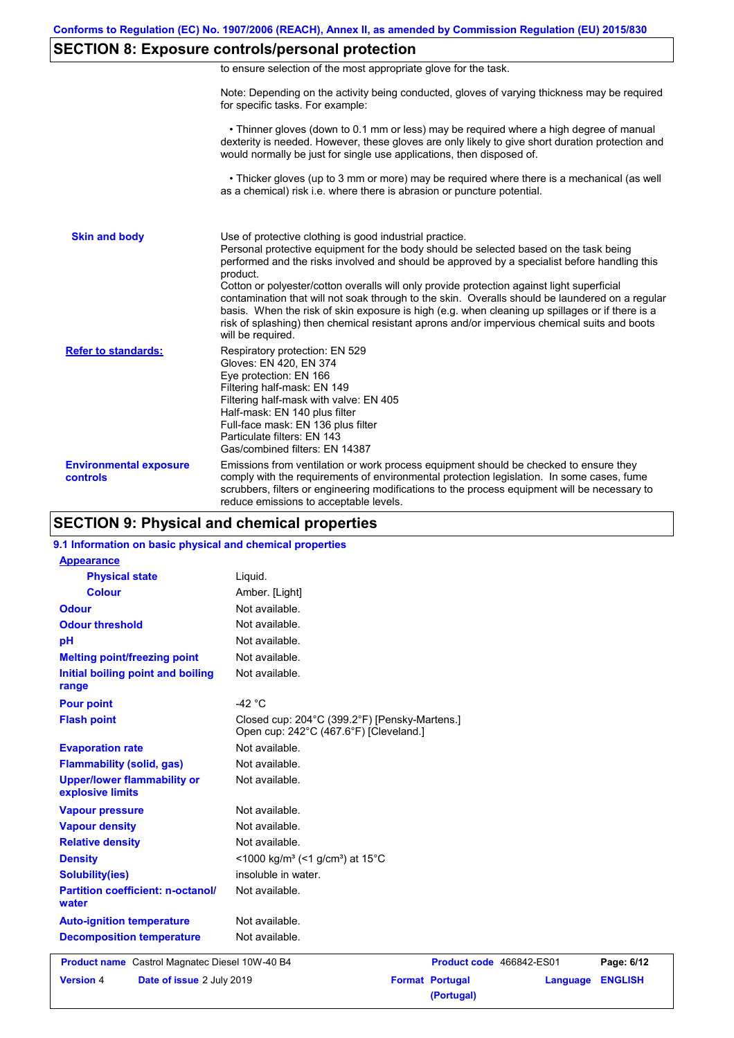# **SECTION 8: Exposure controls/personal protection**

|  | to ensure selection of the most appropriate glove for the task. |  |  |  |  |
|--|-----------------------------------------------------------------|--|--|--|--|
|  |                                                                 |  |  |  |  |

Note: Depending on the activity being conducted, gloves of varying thickness may be required for specific tasks. For example:

 • Thinner gloves (down to 0.1 mm or less) may be required where a high degree of manual dexterity is needed. However, these gloves are only likely to give short duration protection and would normally be just for single use applications, then disposed of.

 • Thicker gloves (up to 3 mm or more) may be required where there is a mechanical (as well as a chemical) risk i.e. where there is abrasion or puncture potential.

| <b>Skin and body</b>                             | Use of protective clothing is good industrial practice.<br>Personal protective equipment for the body should be selected based on the task being<br>performed and the risks involved and should be approved by a specialist before handling this<br>product.<br>Cotton or polyester/cotton overalls will only provide protection against light superficial<br>contamination that will not soak through to the skin. Overalls should be laundered on a regular<br>basis. When the risk of skin exposure is high (e.g. when cleaning up spillages or if there is a<br>risk of splashing) then chemical resistant aprons and/or impervious chemical suits and boots<br>will be required. |
|--------------------------------------------------|---------------------------------------------------------------------------------------------------------------------------------------------------------------------------------------------------------------------------------------------------------------------------------------------------------------------------------------------------------------------------------------------------------------------------------------------------------------------------------------------------------------------------------------------------------------------------------------------------------------------------------------------------------------------------------------|
| <b>Refer to standards:</b>                       | Respiratory protection: EN 529<br>Gloves: EN 420, EN 374<br>Eye protection: EN 166<br>Filtering half-mask: EN 149<br>Filtering half-mask with valve: EN 405<br>Half-mask: EN 140 plus filter<br>Full-face mask: EN 136 plus filter<br>Particulate filters: EN 143<br>Gas/combined filters: EN 14387                                                                                                                                                                                                                                                                                                                                                                                   |
| <b>Environmental exposure</b><br><b>controls</b> | Emissions from ventilation or work process equipment should be checked to ensure they<br>comply with the requirements of environmental protection legislation. In some cases, fume<br>scrubbers, filters or engineering modifications to the process equipment will be necessary to<br>reduce emissions to acceptable levels.                                                                                                                                                                                                                                                                                                                                                         |

## **SECTION 9: Physical and chemical properties**

#### **9.1 Information on basic physical and chemical properties**

| <b>Appearance</b>                                      |                                                                                         |
|--------------------------------------------------------|-----------------------------------------------------------------------------------------|
| <b>Physical state</b>                                  | Liquid.                                                                                 |
| <b>Colour</b>                                          | Amber. [Light]                                                                          |
| <b>Odour</b>                                           | Not available.                                                                          |
| <b>Odour threshold</b>                                 | Not available.                                                                          |
| pH                                                     | Not available.                                                                          |
| <b>Melting point/freezing point</b>                    | Not available.                                                                          |
| Initial boiling point and boiling<br>range             | Not available.                                                                          |
| <b>Pour point</b>                                      | -42 $^{\circ}$ C                                                                        |
| <b>Flash point</b>                                     | Closed cup: 204°C (399.2°F) [Pensky-Martens.]<br>Open cup: 242°C (467.6°F) [Cleveland.] |
| <b>Evaporation rate</b>                                | Not available.                                                                          |
| <b>Flammability (solid, gas)</b>                       | Not available.                                                                          |
| <b>Upper/lower flammability or</b><br>explosive limits | Not available.                                                                          |
| <b>Vapour pressure</b>                                 | Not available.                                                                          |
| <b>Vapour density</b>                                  | Not available.                                                                          |
| <b>Relative density</b>                                | Not available.                                                                          |
| <b>Density</b>                                         | <1000 kg/m <sup>3</sup> (<1 g/cm <sup>3</sup> ) at 15 <sup>°</sup> C                    |
| <b>Solubility(ies)</b>                                 | insoluble in water.                                                                     |
| <b>Partition coefficient: n-octanol/</b><br>water      | Not available.                                                                          |
| <b>Auto-ignition temperature</b>                       | Not available.                                                                          |
| <b>Decomposition temperature</b>                       | Not available.                                                                          |
| <b>Product name</b> Castrol Magnatec Diesel 10W-40 B4  | Product code 466842-ES01<br>Page: 6/12                                                  |
| <b>Version 4</b><br>Date of issue 2 July 2019          | <b>Format Portugal</b><br><b>ENGLISH</b><br>Language<br>(Portugal)                      |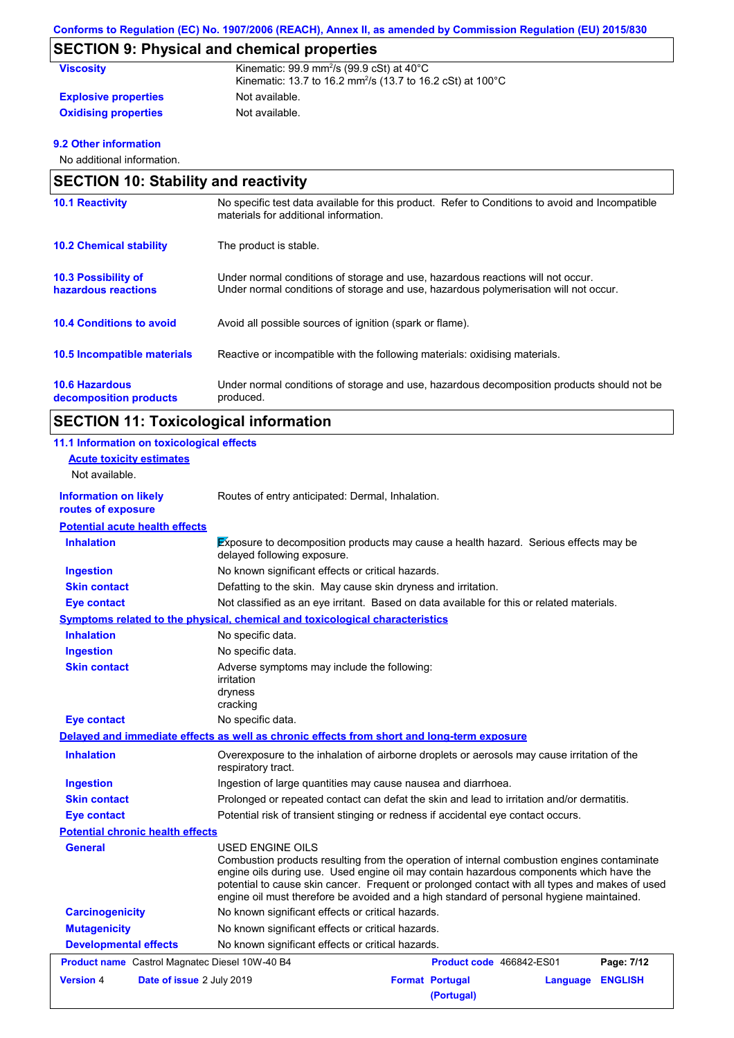# **SECTION 9: Physical and chemical properties**

| <b>Viscosity</b>            | Kinematic: $99.9$ mm <sup>2</sup> /s ( $99.9$ cSt) at $40^{\circ}$ C<br>Kinematic: 13.7 to 16.2 mm <sup>2</sup> /s (13.7 to 16.2 cSt) at 100 <sup>°</sup> C |
|-----------------------------|-------------------------------------------------------------------------------------------------------------------------------------------------------------|
| <b>Explosive properties</b> | Not available.                                                                                                                                              |
| <b>Oxidising properties</b> | Not available.                                                                                                                                              |

### **9.2 Other information**

No additional information.

|                                                   | <b>SECTION 10: Stability and reactivity</b>                                                                                                                             |  |  |  |  |
|---------------------------------------------------|-------------------------------------------------------------------------------------------------------------------------------------------------------------------------|--|--|--|--|
| <b>10.1 Reactivity</b>                            | No specific test data available for this product. Refer to Conditions to avoid and Incompatible<br>materials for additional information.                                |  |  |  |  |
| <b>10.2 Chemical stability</b>                    | The product is stable.                                                                                                                                                  |  |  |  |  |
| <b>10.3 Possibility of</b><br>hazardous reactions | Under normal conditions of storage and use, hazardous reactions will not occur.<br>Under normal conditions of storage and use, hazardous polymerisation will not occur. |  |  |  |  |
| <b>10.4 Conditions to avoid</b>                   | Avoid all possible sources of ignition (spark or flame).                                                                                                                |  |  |  |  |
| 10.5 Incompatible materials                       | Reactive or incompatible with the following materials: oxidising materials.                                                                                             |  |  |  |  |
| <b>10.6 Hazardous</b><br>decomposition products   | Under normal conditions of storage and use, hazardous decomposition products should not be<br>produced.                                                                 |  |  |  |  |

# **SECTION 11: Toxicological information**

| 11.1 Information on toxicological effects          |                                                                                                                                                                                                                                                                                                                                                                                                          |                                      |          |                |
|----------------------------------------------------|----------------------------------------------------------------------------------------------------------------------------------------------------------------------------------------------------------------------------------------------------------------------------------------------------------------------------------------------------------------------------------------------------------|--------------------------------------|----------|----------------|
| <b>Acute toxicity estimates</b>                    |                                                                                                                                                                                                                                                                                                                                                                                                          |                                      |          |                |
| Not available.                                     |                                                                                                                                                                                                                                                                                                                                                                                                          |                                      |          |                |
| <b>Information on likely</b><br>routes of exposure | Routes of entry anticipated: Dermal, Inhalation.                                                                                                                                                                                                                                                                                                                                                         |                                      |          |                |
| <b>Potential acute health effects</b>              |                                                                                                                                                                                                                                                                                                                                                                                                          |                                      |          |                |
| <b>Inhalation</b>                                  | Exposure to decomposition products may cause a health hazard. Serious effects may be<br>delayed following exposure.                                                                                                                                                                                                                                                                                      |                                      |          |                |
| <b>Ingestion</b>                                   | No known significant effects or critical hazards.                                                                                                                                                                                                                                                                                                                                                        |                                      |          |                |
| <b>Skin contact</b>                                | Defatting to the skin. May cause skin dryness and irritation.                                                                                                                                                                                                                                                                                                                                            |                                      |          |                |
| Eye contact                                        | Not classified as an eye irritant. Based on data available for this or related materials.                                                                                                                                                                                                                                                                                                                |                                      |          |                |
|                                                    | Symptoms related to the physical, chemical and toxicological characteristics                                                                                                                                                                                                                                                                                                                             |                                      |          |                |
| <b>Inhalation</b>                                  | No specific data.                                                                                                                                                                                                                                                                                                                                                                                        |                                      |          |                |
| <b>Ingestion</b>                                   | No specific data.                                                                                                                                                                                                                                                                                                                                                                                        |                                      |          |                |
| <b>Skin contact</b>                                | Adverse symptoms may include the following:<br>irritation<br>dryness<br>cracking                                                                                                                                                                                                                                                                                                                         |                                      |          |                |
| <b>Eye contact</b>                                 | No specific data.                                                                                                                                                                                                                                                                                                                                                                                        |                                      |          |                |
|                                                    | Delayed and immediate effects as well as chronic effects from short and long-term exposure                                                                                                                                                                                                                                                                                                               |                                      |          |                |
| <b>Inhalation</b>                                  | Overexposure to the inhalation of airborne droplets or aerosols may cause irritation of the<br>respiratory tract.                                                                                                                                                                                                                                                                                        |                                      |          |                |
| <b>Ingestion</b>                                   | Ingestion of large quantities may cause nausea and diarrhoea.                                                                                                                                                                                                                                                                                                                                            |                                      |          |                |
| <b>Skin contact</b>                                | Prolonged or repeated contact can defat the skin and lead to irritation and/or dermatitis.                                                                                                                                                                                                                                                                                                               |                                      |          |                |
| <b>Eye contact</b>                                 | Potential risk of transient stinging or redness if accidental eye contact occurs.                                                                                                                                                                                                                                                                                                                        |                                      |          |                |
| <b>Potential chronic health effects</b>            |                                                                                                                                                                                                                                                                                                                                                                                                          |                                      |          |                |
| General                                            | USED ENGINE OILS<br>Combustion products resulting from the operation of internal combustion engines contaminate<br>engine oils during use. Used engine oil may contain hazardous components which have the<br>potential to cause skin cancer. Frequent or prolonged contact with all types and makes of used<br>engine oil must therefore be avoided and a high standard of personal hygiene maintained. |                                      |          |                |
| <b>Carcinogenicity</b>                             | No known significant effects or critical hazards.                                                                                                                                                                                                                                                                                                                                                        |                                      |          |                |
| <b>Mutagenicity</b>                                | No known significant effects or critical hazards.                                                                                                                                                                                                                                                                                                                                                        |                                      |          |                |
| <b>Developmental effects</b>                       | No known significant effects or critical hazards.                                                                                                                                                                                                                                                                                                                                                        |                                      |          |                |
| Product name Castrol Magnatec Diesel 10W-40 B4     |                                                                                                                                                                                                                                                                                                                                                                                                          | Product code 466842-ES01             |          | Page: 7/12     |
| <b>Version 4</b><br>Date of issue 2 July 2019      |                                                                                                                                                                                                                                                                                                                                                                                                          | <b>Format Portugal</b><br>(Portugal) | Language | <b>ENGLISH</b> |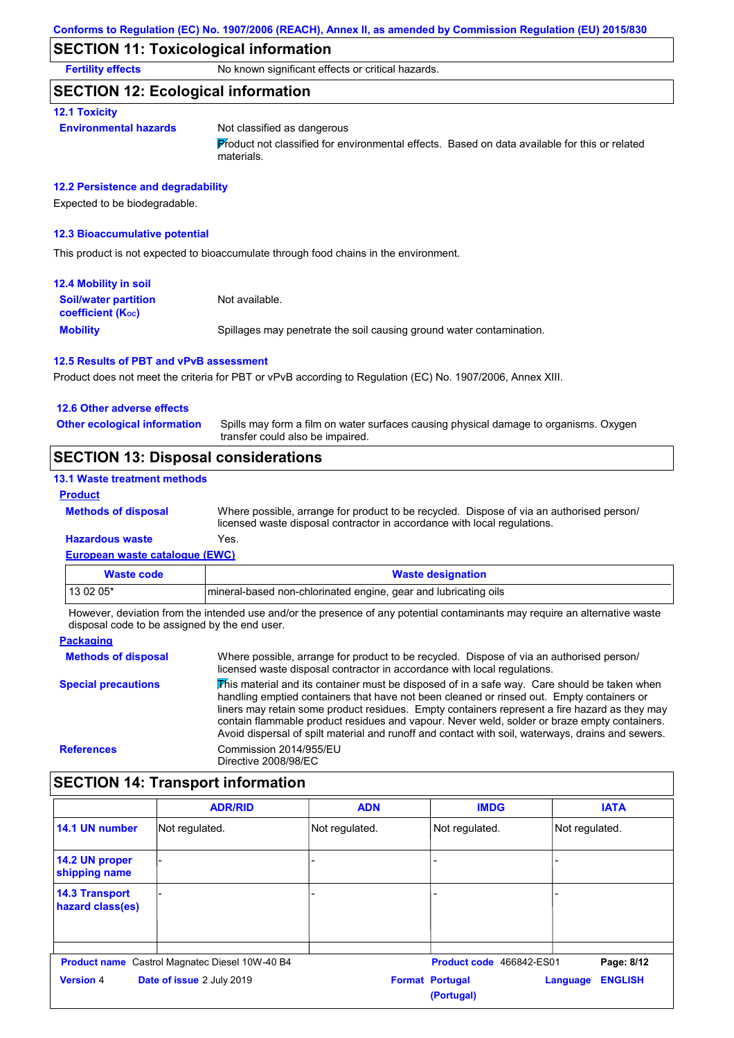## **SECTION 11: Toxicological information**

**Fertility effects** No known significant effects or critical hazards.

### **SECTION 12: Ecological information**

#### **12.1 Toxicity**

#### **Environmental hazards** Not classified as dangerous

Product not classified for environmental effects. Based on data available for this or related materials.

#### **12.2 Persistence and degradability**

Expected to be biodegradable.

#### **12.3 Bioaccumulative potential**

This product is not expected to bioaccumulate through food chains in the environment.

| <b>12.4 Mobility in soil</b>                                  |                                                                      |
|---------------------------------------------------------------|----------------------------------------------------------------------|
| <b>Soil/water partition</b><br>coefficient (K <sub>oc</sub> ) | Not available.                                                       |
| <b>Mobility</b>                                               | Spillages may penetrate the soil causing ground water contamination. |

#### **12.5 Results of PBT and vPvB assessment**

Product does not meet the criteria for PBT or vPvB according to Regulation (EC) No. 1907/2006, Annex XIII.

#### **12.6 Other adverse effects**

**Other ecological information**

Spills may form a film on water surfaces causing physical damage to organisms. Oxygen transfer could also be impaired.

## **SECTION 13: Disposal considerations**

### **13.1 Waste treatment methods**

**Methods of disposal**

### **Product**

Where possible, arrange for product to be recycled. Dispose of via an authorised person/ licensed waste disposal contractor in accordance with local regulations.

#### **European waste catalogue (EWC) Hazardous waste** Yes.

| Waste code  | <b>Waste designation</b>                                         |
|-------------|------------------------------------------------------------------|
| l 13 02 05* | Imineral-based non-chlorinated engine, gear and lubricating oils |

However, deviation from the intended use and/or the presence of any potential contaminants may require an alternative waste disposal code to be assigned by the end user.

#### **Packaging**

| <b>Methods of disposal</b> | Where possible, arrange for product to be recycled. Dispose of via an authorised person/<br>licensed waste disposal contractor in accordance with local regulations.                                                                                                                                                                                                                                                                                                                            |
|----------------------------|-------------------------------------------------------------------------------------------------------------------------------------------------------------------------------------------------------------------------------------------------------------------------------------------------------------------------------------------------------------------------------------------------------------------------------------------------------------------------------------------------|
| <b>Special precautions</b> | This material and its container must be disposed of in a safe way. Care should be taken when<br>handling emptied containers that have not been cleaned or rinsed out. Empty containers or<br>liners may retain some product residues. Empty containers represent a fire hazard as they may<br>contain flammable product residues and vapour. Never weld, solder or braze empty containers.<br>Avoid dispersal of spilt material and runoff and contact with soil, waterways, drains and sewers. |
| <b>References</b>          | Commission 2014/955/EU<br>Directive 2008/98/EC                                                                                                                                                                                                                                                                                                                                                                                                                                                  |

# **SECTION 14: Transport information**

|                                           | <b>ADR/RID</b>                                        | <b>ADN</b>     | <b>IMDG</b>                          | <b>IATA</b>                |
|-------------------------------------------|-------------------------------------------------------|----------------|--------------------------------------|----------------------------|
| 14.1 UN number                            | Not regulated.                                        | Not regulated. | Not regulated.                       | Not regulated.             |
| 14.2 UN proper<br>shipping name           |                                                       |                |                                      |                            |
| <b>14.3 Transport</b><br>hazard class(es) |                                                       |                |                                      |                            |
|                                           | <b>Product name</b> Castrol Magnatec Diesel 10W-40 B4 |                | Product code 466842-ES01             | Page: 8/12                 |
| <b>Version 4</b>                          | Date of issue 2 July 2019                             |                | <b>Format Portugal</b><br>(Portugal) | <b>ENGLISH</b><br>Language |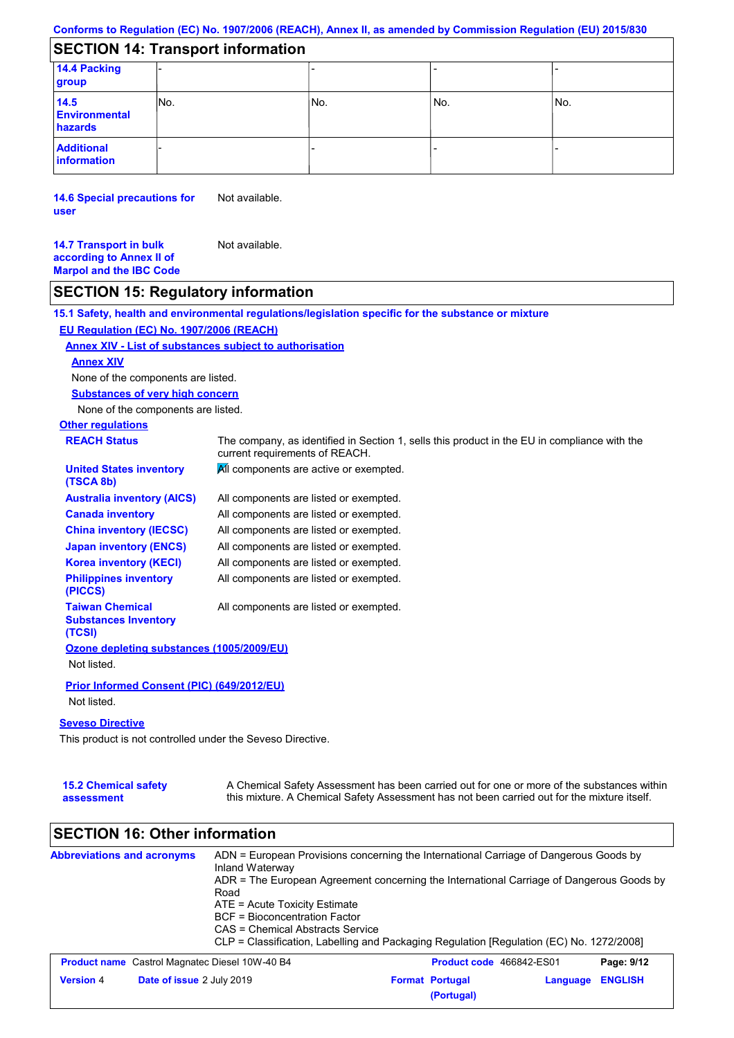# **SECTION 14: Transport information**

| 14.4 Packing<br>group                   |      |     |       |     |
|-----------------------------------------|------|-----|-------|-----|
| 14.5<br><b>Environmental</b><br>hazards | INo. | No. | l No. | No. |
| <b>Additional</b><br>information        |      |     |       |     |

**14.6 Special precautions for user** Not available.

**14.7 Transport in bulk according to Annex II of Marpol and the IBC Code** Not available.

## **SECTION 15: Regulatory information**

**Other regulations REACH Status** The company, as identified in Section 1, sells this product in the EU in compliance with the current requirements of REACH. **15.1 Safety, health and environmental regulations/legislation specific for the substance or mixture EU Regulation (EC) No. 1907/2006 (REACH) Annex XIV - List of substances subject to authorisation Substances of very high concern** None of the components are listed. All components are listed or exempted. All components are listed or exempted. All components are listed or exempted. All components are listed or exempted. **All components are active or exempted.** All components are listed or exempted. All components are listed or exempted. **United States inventory (TSCA 8b) Australia inventory (AICS) Canada inventory China inventory (IECSC) Japan inventory (ENCS) Korea inventory (KECI) Philippines inventory (PICCS) Taiwan Chemical Substances Inventory (TCSI)** All components are listed or exempted. **Ozone depleting substances (1005/2009/EU)** Not listed. **Prior Informed Consent (PIC) (649/2012/EU)** Not listed. **Seveso Directive** None of the components are listed. **Annex XIV**

This product is not controlled under the Seveso Directive.

| <b>15.2 Chemical safety</b> | A Chemical Safety Assessment has been carried out for one or more of the substances within  |
|-----------------------------|---------------------------------------------------------------------------------------------|
| assessment                  | this mixture. A Chemical Safety Assessment has not been carried out for the mixture itself. |

# **SECTION 16: Other information**

| <b>Abbreviations and acronyms</b> | Inland Waterway<br>Road<br>ATE = Acute Toxicity Estimate<br>BCF = Bioconcentration Factor<br>CAS = Chemical Abstracts Service | ADN = European Provisions concerning the International Carriage of Dangerous Goods by<br>ADR = The European Agreement concerning the International Carriage of Dangerous Goods by<br>CLP = Classification, Labelling and Packaging Regulation [Regulation (EC) No. 1272/2008] |  |
|-----------------------------------|-------------------------------------------------------------------------------------------------------------------------------|-------------------------------------------------------------------------------------------------------------------------------------------------------------------------------------------------------------------------------------------------------------------------------|--|
|                                   | <b>Product name</b> Castrol Magnatec Diesel 10W-40 B4                                                                         | Product code 466842-ES01<br>Page: 9/12                                                                                                                                                                                                                                        |  |
| <b>Version 4</b>                  | Date of issue 2 July 2019                                                                                                     | <b>ENGLISH</b><br><b>Format Portugal</b><br>Language<br>(Portugal)                                                                                                                                                                                                            |  |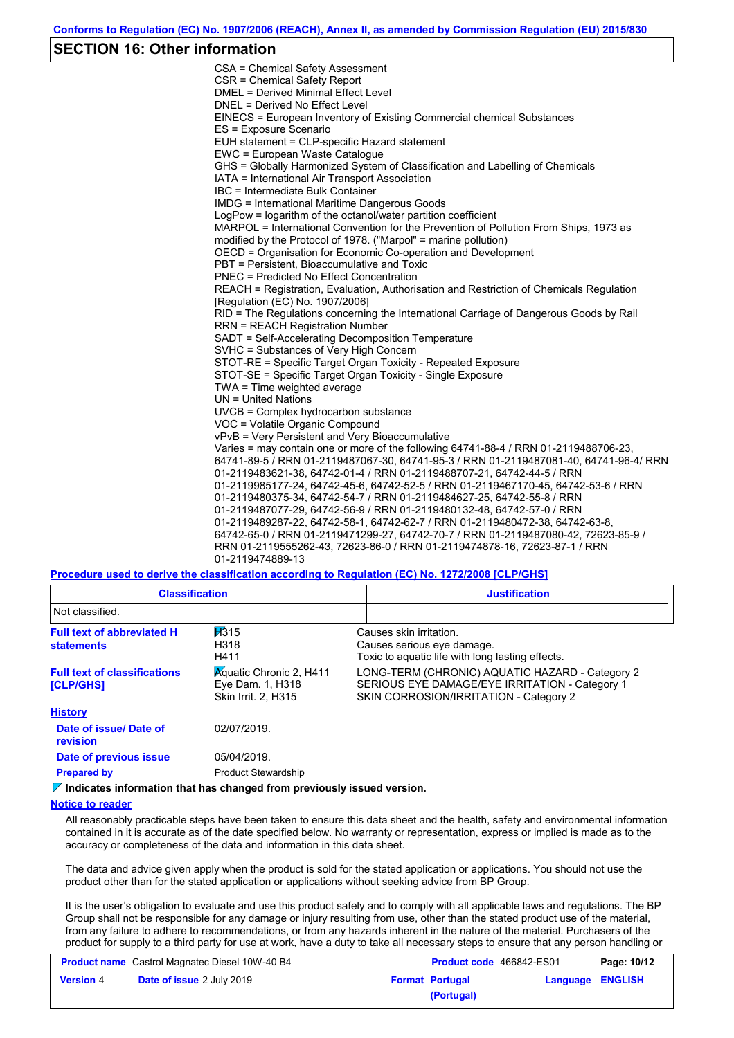### **SECTION 16: Other information**

CSA = Chemical Safety Assessment CSR = Chemical Safety Report DMEL = Derived Minimal Effect Level DNEL = Derived No Effect Level EINECS = European Inventory of Existing Commercial chemical Substances ES = Exposure Scenario EUH statement = CLP-specific Hazard statement EWC = European Waste Catalogue GHS = Globally Harmonized System of Classification and Labelling of Chemicals IATA = International Air Transport Association IBC = Intermediate Bulk Container IMDG = International Maritime Dangerous Goods LogPow = logarithm of the octanol/water partition coefficient MARPOL = International Convention for the Prevention of Pollution From Ships, 1973 as modified by the Protocol of 1978. ("Marpol" = marine pollution) OECD = Organisation for Economic Co-operation and Development PBT = Persistent, Bioaccumulative and Toxic PNEC = Predicted No Effect Concentration REACH = Registration, Evaluation, Authorisation and Restriction of Chemicals Regulation [Regulation (EC) No. 1907/2006] RID = The Regulations concerning the International Carriage of Dangerous Goods by Rail RRN = REACH Registration Number SADT = Self-Accelerating Decomposition Temperature SVHC = Substances of Very High Concern STOT-RE = Specific Target Organ Toxicity - Repeated Exposure STOT-SE = Specific Target Organ Toxicity - Single Exposure TWA = Time weighted average UN = United Nations UVCB = Complex hydrocarbon substance VOC = Volatile Organic Compound vPvB = Very Persistent and Very Bioaccumulative Varies = may contain one or more of the following 64741-88-4 / RRN 01-2119488706-23, 64741-89-5 / RRN 01-2119487067-30, 64741-95-3 / RRN 01-2119487081-40, 64741-96-4/ RRN 01-2119483621-38, 64742-01-4 / RRN 01-2119488707-21, 64742-44-5 / RRN 01-2119985177-24, 64742-45-6, 64742-52-5 / RRN 01-2119467170-45, 64742-53-6 / RRN 01-2119480375-34, 64742-54-7 / RRN 01-2119484627-25, 64742-55-8 / RRN 01-2119487077-29, 64742-56-9 / RRN 01-2119480132-48, 64742-57-0 / RRN 01-2119489287-22, 64742-58-1, 64742-62-7 / RRN 01-2119480472-38, 64742-63-8, 64742-65-0 / RRN 01-2119471299-27, 64742-70-7 / RRN 01-2119487080-42, 72623-85-9 / RRN 01-2119555262-43, 72623-86-0 / RRN 01-2119474878-16, 72623-87-1 / RRN 01-2119474889-13

**Procedure used to derive the classification according to Regulation (EC) No. 1272/2008 [CLP/GHS]**

| <b>Classification</b>                                   |                                                                                   | <b>Justification</b>                                                                                                                        |
|---------------------------------------------------------|-----------------------------------------------------------------------------------|---------------------------------------------------------------------------------------------------------------------------------------------|
| Not classified.                                         |                                                                                   |                                                                                                                                             |
| <b>Full text of abbreviated H</b><br><b>statements</b>  | 1315<br>H318<br>H411                                                              | Causes skin irritation.<br>Causes serious eye damage.<br>Toxic to aguatic life with long lasting effects.                                   |
| <b>Full text of classifications</b><br><b>[CLP/GHS]</b> | <b>Aguatic Chronic 2, H411</b><br>Eye Dam. 1, H318<br>Skin Irrit. 2, H315         | LONG-TERM (CHRONIC) AQUATIC HAZARD - Category 2<br>SERIOUS EYE DAMAGE/EYE IRRITATION - Category 1<br>SKIN CORROSION/IRRITATION - Category 2 |
| <b>History</b>                                          |                                                                                   |                                                                                                                                             |
| Date of issue/ Date of<br>revision                      | 02/07/2019.                                                                       |                                                                                                                                             |
| Date of previous issue                                  | 05/04/2019.                                                                       |                                                                                                                                             |
| <b>Prepared by</b>                                      | <b>Product Stewardship</b>                                                        |                                                                                                                                             |
|                                                         | $\mathbb Z$ Indicates information that has abanyed from provisualy issued varoian |                                                                                                                                             |

**Indicates information that has changed from previously issued version.**

#### **Notice to reader**

All reasonably practicable steps have been taken to ensure this data sheet and the health, safety and environmental information contained in it is accurate as of the date specified below. No warranty or representation, express or implied is made as to the accuracy or completeness of the data and information in this data sheet.

The data and advice given apply when the product is sold for the stated application or applications. You should not use the product other than for the stated application or applications without seeking advice from BP Group.

It is the user's obligation to evaluate and use this product safely and to comply with all applicable laws and regulations. The BP Group shall not be responsible for any damage or injury resulting from use, other than the stated product use of the material, from any failure to adhere to recommendations, or from any hazards inherent in the nature of the material. Purchasers of the product for supply to a third party for use at work, have a duty to take all necessary steps to ensure that any person handling or

|                  | <b>Product name</b> Castrol Magnatec Diesel 10W-40 B4 |                        | <b>Product code</b> 466842-ES01 | Page: 10/12 |
|------------------|-------------------------------------------------------|------------------------|---------------------------------|-------------|
| <b>Version 4</b> | <b>Date of issue 2 July 2019</b>                      | <b>Format Portugal</b> | Language ENGLISH                |             |
|                  |                                                       | (Portugal)             |                                 |             |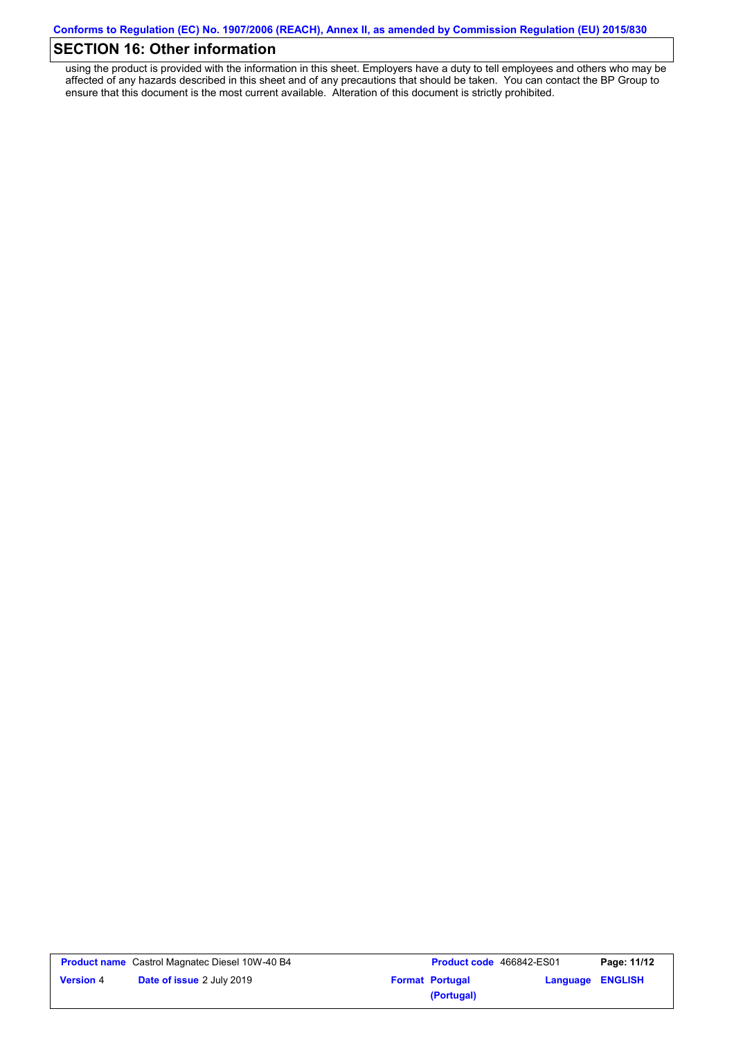# **SECTION 16: Other information**

using the product is provided with the information in this sheet. Employers have a duty to tell employees and others who may be affected of any hazards described in this sheet and of any precautions that should be taken. You can contact the BP Group to ensure that this document is the most current available. Alteration of this document is strictly prohibited.

|                  | <b>Product name</b> Castrol Magnatec Diesel 10W-40 B4 |
|------------------|-------------------------------------------------------|
| <b>Version 4</b> | <b>Date of issue 2 July 2019</b>                      |